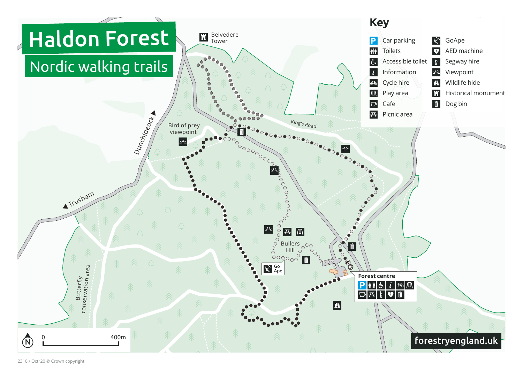